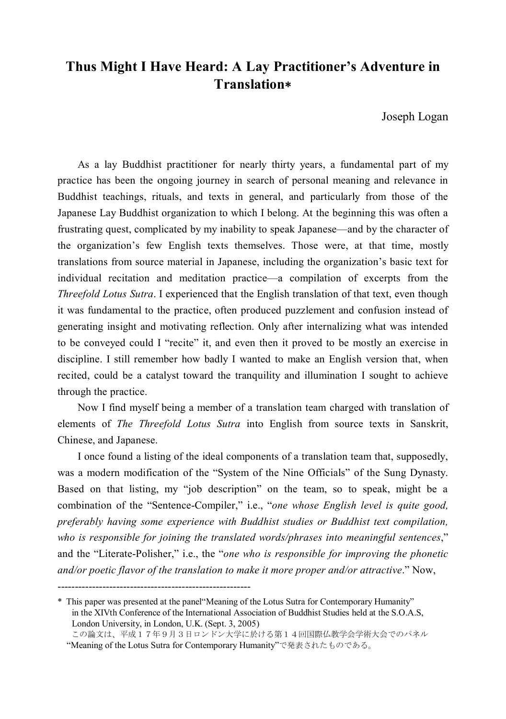## **Thus Might I Have Heard: A Lay Practitioner's Adventure in Translation**\*

Joseph Logan

As a lay Buddhist practitioner for nearly thirty years, a fundamental part of my practice has been the ongoing journey in search of personal meaning and relevance in Buddhist teachings, rituals, and texts in general, and particularly from those of the Japanese Lay Buddhist organization to which I belong. At the beginning this was often a frustrating quest, complicated by my inability to speak Japanese—and by the character of the organization's few English texts themselves. Those were, at that time, mostly translations from source material in Japanese, including the organization's basic text for individual recitation and meditation practice—a compilation of excerpts from the *Threefold Lotus Sutra*. I experienced that the English translation of that text, even though it was fundamental to the practice, often produced puzzlement and confusion instead of generating insight and motivating reflection. Only after internalizing what was intended to be conveyed could I "recite" it, and even then it proved to be mostly an exercise in discipline. I still remember how badly I wanted to make an English version that, when recited, could be a catalyst toward the tranquility and illumination I sought to achieve through the practice.

Now I find myself being a member of a translation team charged with translation of elements of *The Threefold Lotus Sutra* into English from source texts in Sanskrit, Chinese, and Japanese.

I once found a listing of the ideal components of a translation team that, supposedly, was a modern modification of the "System of the Nine Officials" of the Sung Dynasty. Based on that listing, my "job description" on the team, so to speak, might be a combination of the "Sentence-Compiler," i.e., "*one whose English level is quite good, preferably having some experience with Buddhist studies or Buddhist text compilation, who is responsible for joining the translated words/phrases into meaningful sentences*," and the "Literate-Polisher," i.e., the "*one who is responsible for improving the phonetic and/or poetic flavor of the translation to make it more proper and/or attractive*." Now,

<sup>--------------------------------------------------------</sup>

<sup>\*</sup> This paper was presented at the panel"Meaning of the Lotus Sutra for Contemporary Humanity" in the XIVth Conference of the International Association of Buddhist Studies held at the S.O.A.S, London University, in London, U.K. (Sept. 3, 2005)

この論文は、平成17年9月3日ロンドン大学に於ける第14回国際仏教学会学術大会でのパネル "Meaning of the Lotus Sutra for Contemporary Humanity"で発表されたものである。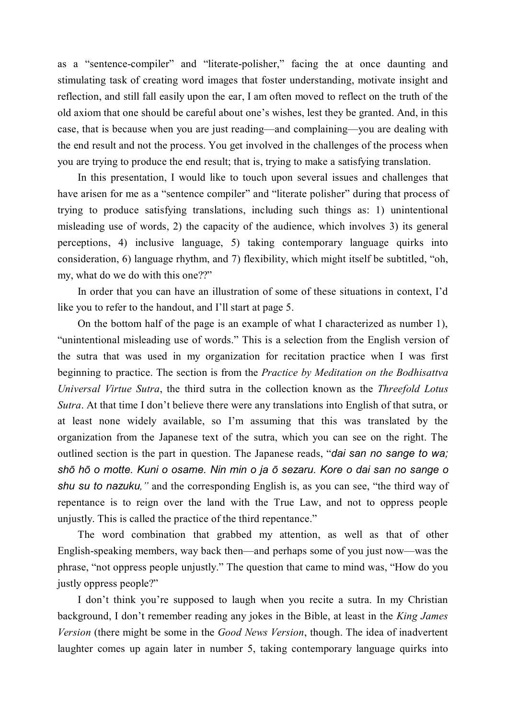as a "sentence-compiler" and "literate-polisher," facing the at once daunting and stimulating task of creating word images that foster understanding, motivate insight and reflection, and still fall easily upon the ear, I am often moved to reflect on the truth of the old axiom that one should be careful about one's wishes, lest they be granted. And, in this case, that is because when you are just reading—and complaining—you are dealing with the end result and not the process. You get involved in the challenges of the process when you are trying to produce the end result; that is, trying to make a satisfying translation.

In this presentation, I would like to touch upon several issues and challenges that have arisen for me as a "sentence compiler" and "literate polisher" during that process of trying to produce satisfying translations, including such things as: 1) unintentional misleading use of words, 2) the capacity of the audience, which involves 3) its general perceptions, 4) inclusive language, 5) taking contemporary language quirks into consideration, 6) language rhythm, and 7) flexibility, which might itself be subtitled, "oh, my, what do we do with this one??"

In order that you can have an illustration of some of these situations in context, I'd like you to refer to the handout, and I'll start at page 5.

On the bottom half of the page is an example of what I characterized as number 1), "unintentional misleading use of words." This is a selection from the English version of the sutra that was used in my organization for recitation practice when I was first beginning to practice. The section is from the *Practice by Meditation on the Bodhisattva Universal Virtue Sutra*, the third sutra in the collection known as the *Threefold Lotus Sutra*. At that time I don't believe there were any translations into English of that sutra, or at least none widely available, so I'm assuming that this was translated by the organization from the Japanese text of the sutra, which you can see on the right. The outlined section is the part in question. The Japanese reads, "*dai san no sange to wa; shō hō o motte. Kuni o osame. Nin min o ja ō sezaru. Kore o dai san no sange o shu su to nazuku,"* and the corresponding English is, as you can see, "the third way of repentance is to reign over the land with the True Law, and not to oppress people unjustly. This is called the practice of the third repentance."

The word combination that grabbed my attention, as well as that of other English-speaking members, way back then—and perhaps some of you just now—was the phrase, "not oppress people unjustly." The question that came to mind was, "How do you justly oppress people?"

I don't think you're supposed to laugh when you recite a sutra. In my Christian background, I don't remember reading any jokes in the Bible, at least in the *King James Version* (there might be some in the *Good News Version*, though. The idea of inadvertent laughter comes up again later in number 5, taking contemporary language quirks into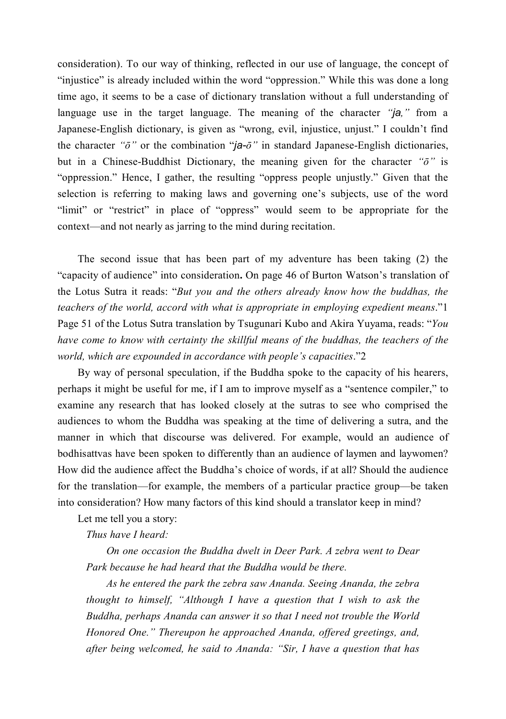consideration). To our way of thinking, reflected in our use of language, the concept of "injustice" is already included within the word "oppression." While this was done a long time ago, it seems to be a case of dictionary translation without a full understanding of language use in the target language. The meaning of the character *"ja,"* from a Japanese-English dictionary, is given as "wrong, evil, injustice, unjust." I couldn't find the character " $\ddot{\sigma}$ " or the combination " $\ddot{\sigma}$ " in standard Japanese-English dictionaries, but in a Chinese-Buddhist Dictionary, the meaning given for the character *"ō"* is "oppression." Hence, I gather, the resulting "oppress people unjustly." Given that the selection is referring to making laws and governing one's subjects, use of the word "limit" or "restrict" in place of "oppress" would seem to be appropriate for the context—and not nearly as jarring to the mind during recitation.

The second issue that has been part of my adventure has been taking (2) the "capacity of audience" into consideration**.** On page 46 of Burton Watson's translation of the Lotus Sutra it reads: "*But you and the others already know how the buddhas, the teachers of the world, accord with what is appropriate in employing expedient means*."1 Page 51 of the Lotus Sutra translation by Tsugunari Kubo and Akira Yuyama, reads: "*You have come to know with certainty the skillful means of the buddhas, the teachers of the world, which are expounded in accordance with people's capacities*."2

By way of personal speculation, if the Buddha spoke to the capacity of his hearers, perhaps it might be useful for me, if I am to improve myself as a "sentence compiler," to examine any research that has looked closely at the sutras to see who comprised the audiences to whom the Buddha was speaking at the time of delivering a sutra, and the manner in which that discourse was delivered. For example, would an audience of bodhisattvas have been spoken to differently than an audience of laymen and laywomen? How did the audience affect the Buddha's choice of words, if at all? Should the audience for the translation—for example, the members of a particular practice group—be taken into consideration? How many factors of this kind should a translator keep in mind?

Let me tell you a story:

*Thus have I heard:*

*On one occasion the Buddha dwelt in Deer Park. A zebra went to Dear Park because he had heard that the Buddha would be there.*

*As he entered the park the zebra saw Ananda. Seeing Ananda, the zebra thought to himself, "Although I have a question that I wish to ask the Buddha, perhaps Ananda can answer it so that I need not trouble the World Honored One." Thereupon he approached Ananda, offered greetings, and, after being welcomed, he said to Ananda: "Sir, I have a question that has*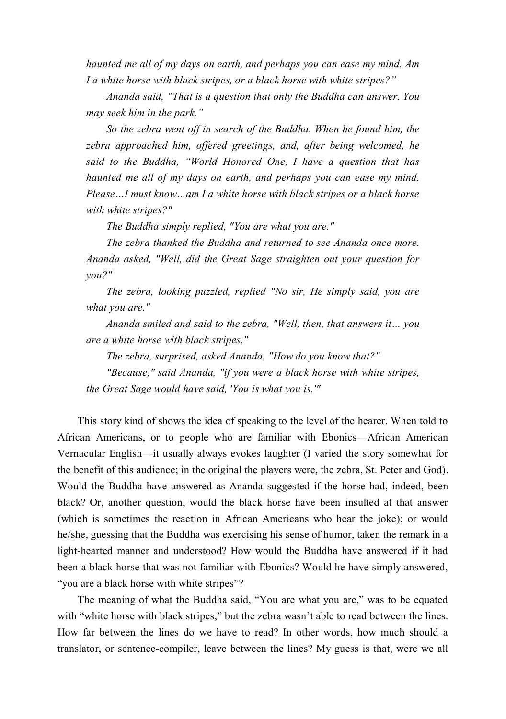*haunted me all of my days on earth, and perhaps you can ease my mind. Am I a white horse with black stripes, or a black horse with white stripes?"*

*Ananda said, "That is a question that only the Buddha can answer. You may seek him in the park."*

*So the zebra went off in search of the Buddha. When he found him, the zebra approached him, offered greetings, and, after being welcomed, he said to the Buddha, "World Honored One, I have a question that has haunted me all of my days on earth, and perhaps you can ease my mind. Please…I must know…am I a white horse with black stripes or a black horse with white stripes?"*

*The Buddha simply replied, "You are what you are."*

*The zebra thanked the Buddha and returned to see Ananda once more. Ananda asked, "Well, did the Great Sage straighten out your question for you?"*

*The zebra, looking puzzled, replied "No sir, He simply said, you are what you are."*

*Ananda smiled and said to the zebra, "Well, then, that answers it… you are a white horse with black stripes."*

*The zebra, surprised, asked Ananda, "How do you know that?"*

*"Because," said Ananda, "if you were a black horse with white stripes, the Great Sage would have said, 'You is what you is.'"*

This story kind of shows the idea of speaking to the level of the hearer. When told to African Americans, or to people who are familiar with Ebonics—African American Vernacular English—it usually always evokes laughter (I varied the story somewhat for the benefit of this audience; in the original the players were, the zebra, St. Peter and God). Would the Buddha have answered as Ananda suggested if the horse had, indeed, been black? Or, another question, would the black horse have been insulted at that answer (which is sometimes the reaction in African Americans who hear the joke); or would he/she, guessing that the Buddha was exercising his sense of humor, taken the remark in a light-hearted manner and understood? How would the Buddha have answered if it had been a black horse that was not familiar with Ebonics? Would he have simply answered, "you are a black horse with white stripes"?

The meaning of what the Buddha said, "You are what you are," was to be equated with "white horse with black stripes," but the zebra wasn't able to read between the lines. How far between the lines do we have to read? In other words, how much should a translator, or sentence-compiler, leave between the lines? My guess is that, were we all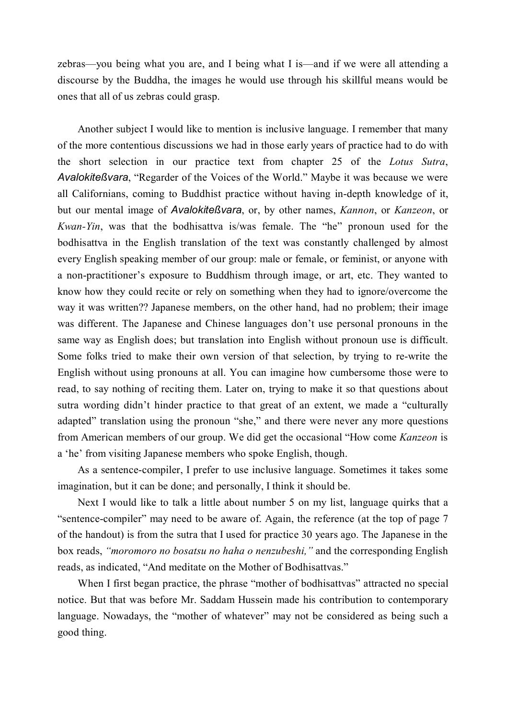zebras—you being what you are, and I being what I is—and if we were all attending a discourse by the Buddha, the images he would use through his skillful means would be ones that all of us zebras could grasp.

Another subject I would like to mention is inclusive language. I remember that many of the more contentious discussions we had in those early years of practice had to do with the short selection in our practice text from chapter 25 of the *Lotus Sutra*, *Avalokiteßvara*, "Regarder of the Voices of the World." Maybe it was because we were all Californians, coming to Buddhist practice without having in-depth knowledge of it, but our mental image of *Avalokiteßvara*, or, by other names, *Kannon*, or *Kanzeon*, or *Kwan-Yin*, was that the bodhisattva is/was female. The "he" pronoun used for the bodhisattva in the English translation of the text was constantly challenged by almost every English speaking member of our group: male or female, or feminist, or anyone with a non-practitioner's exposure to Buddhism through image, or art, etc. They wanted to know how they could recite or rely on something when they had to ignore/overcome the way it was written?? Japanese members, on the other hand, had no problem; their image was different. The Japanese and Chinese languages don't use personal pronouns in the same way as English does; but translation into English without pronoun use is difficult. Some folks tried to make their own version of that selection, by trying to re-write the English without using pronouns at all. You can imagine how cumbersome those were to read, to say nothing of reciting them. Later on, trying to make it so that questions about sutra wording didn't hinder practice to that great of an extent, we made a "culturally adapted" translation using the pronoun "she," and there were never any more questions from American members of our group. We did get the occasional "How come *Kanzeon* is a 'he' from visiting Japanese members who spoke English, though.

As a sentence-compiler, I prefer to use inclusive language. Sometimes it takes some imagination, but it can be done; and personally, I think it should be.

Next I would like to talk a little about number 5 on my list, language quirks that a "sentence-compiler" may need to be aware of. Again, the reference (at the top of page 7 of the handout) is from the sutra that I used for practice 30 years ago. The Japanese in the box reads, *"moromoro no bosatsu no haha o nenzubeshi,"* and the corresponding English reads, as indicated, "And meditate on the Mother of Bodhisattvas."

When I first began practice, the phrase "mother of bodhisattvas" attracted no special notice. But that was before Mr. Saddam Hussein made his contribution to contemporary language. Nowadays, the "mother of whatever" may not be considered as being such a good thing.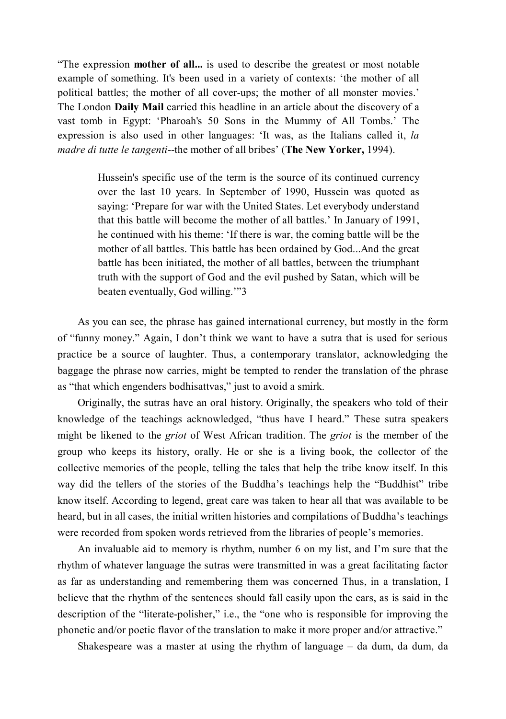"The expression **mother of all...** is used to describe the greatest or most notable example of something. It's been used in a variety of contexts: 'the mother of all political battles; the mother of all cover-ups; the mother of all monster movies.' The London **Daily Mail** carried this headline in an article about the discovery of a vast tomb in Egypt: 'Pharoah's 50 Sons in the Mummy of All Tombs.' The expression is also used in other languages: 'It was, as the Italians called it, *la madre di tutte le tangenti*--the mother of all bribes' (**The New Yorker,** 1994).

> Hussein's specific use of the term is the source of its continued currency over the last 10 years. In September of 1990, Hussein was quoted as saying: 'Prepare for war with the United States. Let everybody understand that this battle will become the mother of all battles.' In January of 1991, he continued with his theme: 'If there is war, the coming battle will be the mother of all battles. This battle has been ordained by God...And the great battle has been initiated, the mother of all battles, between the triumphant truth with the support of God and the evil pushed by Satan, which will be beaten eventually, God willing.'"3

As you can see, the phrase has gained international currency, but mostly in the form of "funny money." Again, I don't think we want to have a sutra that is used for serious practice be a source of laughter. Thus, a contemporary translator, acknowledging the baggage the phrase now carries, might be tempted to render the translation of the phrase as "that which engenders bodhisattvas," just to avoid a smirk.

Originally, the sutras have an oral history. Originally, the speakers who told of their knowledge of the teachings acknowledged, "thus have I heard." These sutra speakers might be likened to the *griot* of West African tradition. The *griot* is the member of the group who keeps its history, orally. He or she is a living book, the collector of the collective memories of the people, telling the tales that help the tribe know itself. In this way did the tellers of the stories of the Buddha's teachings help the "Buddhist" tribe know itself. According to legend, great care was taken to hear all that was available to be heard, but in all cases, the initial written histories and compilations of Buddha's teachings were recorded from spoken words retrieved from the libraries of people's memories.

An invaluable aid to memory is rhythm, number 6 on my list, and I'm sure that the rhythm of whatever language the sutras were transmitted in was a great facilitating factor as far as understanding and remembering them was concerned Thus, in a translation, I believe that the rhythm of the sentences should fall easily upon the ears, as is said in the description of the "literate-polisher," i.e., the "one who is responsible for improving the phonetic and/or poetic flavor of the translation to make it more proper and/or attractive."

Shakespeare was a master at using the rhythm of language – da dum, da dum, da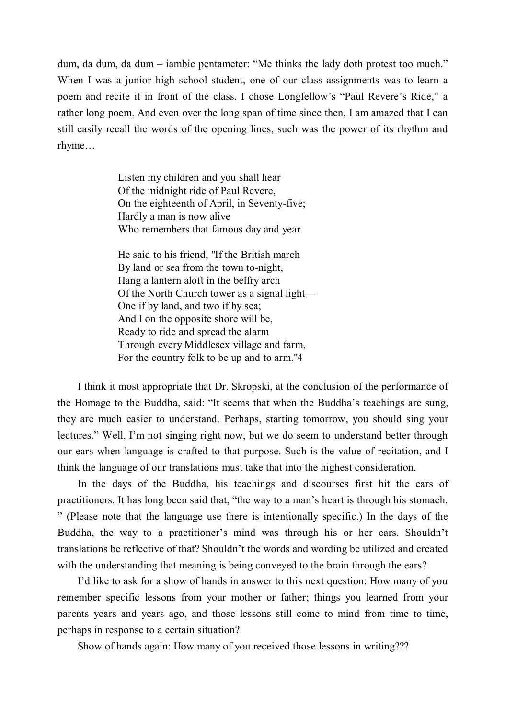dum, da dum, da dum – iambic pentameter: "Me thinks the lady doth protest too much." When I was a junior high school student, one of our class assignments was to learn a poem and recite it in front of the class. I chose Longfellow's "Paul Revere's Ride," a rather long poem. And even over the long span of time since then, I am amazed that I can still easily recall the words of the opening lines, such was the power of its rhythm and rhyme…

> Listen my children and you shall hear Of the midnight ride of Paul Revere, On the eighteenth of April, in Seventy-five; Hardly a man is now alive Who remembers that famous day and year.

He said to his friend, "If the British march By land or sea from the town to-night, Hang a lantern aloft in the belfry arch Of the North Church tower as a signal light— One if by land, and two if by sea; And I on the opposite shore will be, Ready to ride and spread the alarm Through every Middlesex village and farm, For the country folk to be up and to arm."4

I think it most appropriate that Dr. Skropski, at the conclusion of the performance of the Homage to the Buddha, said: "It seems that when the Buddha's teachings are sung, they are much easier to understand. Perhaps, starting tomorrow, you should sing your lectures." Well, I'm not singing right now, but we do seem to understand better through our ears when language is crafted to that purpose. Such is the value of recitation, and I think the language of our translations must take that into the highest consideration.

In the days of the Buddha, his teachings and discourses first hit the ears of practitioners. It has long been said that, "the way to a man's heart is through his stomach. " (Please note that the language use there is intentionally specific.) In the days of the Buddha, the way to a practitioner's mind was through his or her ears. Shouldn't translations be reflective of that? Shouldn't the words and wording be utilized and created with the understanding that meaning is being conveyed to the brain through the ears?

I'd like to ask for a show of hands in answer to this next question: How many of you remember specific lessons from your mother or father; things you learned from your parents years and years ago, and those lessons still come to mind from time to time, perhaps in response to a certain situation?

Show of hands again: How many of you received those lessons in writing???